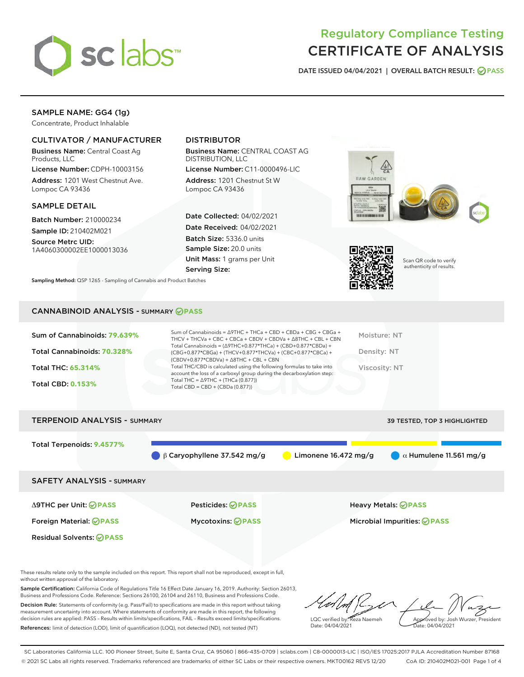

# Regulatory Compliance Testing CERTIFICATE OF ANALYSIS

DATE ISSUED 04/04/2021 | OVERALL BATCH RESULT: @ PASS

# SAMPLE NAME: GG4 (1g)

Concentrate, Product Inhalable

# CULTIVATOR / MANUFACTURER

Business Name: Central Coast Ag Products, LLC

License Number: CDPH-10003156 Address: 1201 West Chestnut Ave. Lompoc CA 93436

#### SAMPLE DETAIL

Batch Number: 210000234 Sample ID: 210402M021

Source Metrc UID: 1A4060300002EE1000013036

# DISTRIBUTOR

Business Name: CENTRAL COAST AG DISTRIBUTION, LLC

License Number: C11-0000496-LIC Address: 1201 Chestnut St W Lompoc CA 93436

Date Collected: 04/02/2021 Date Received: 04/02/2021 Batch Size: 5336.0 units Sample Size: 20.0 units Unit Mass: 1 grams per Unit Serving Size:





Scan QR code to verify authenticity of results.

CANNABINOID ANALYSIS - SUMMARY **PASS**

Sampling Method: QSP 1265 - Sampling of Cannabis and Product Batches

| Sum of Cannabinoids: 79.639% | Sum of Cannabinoids = $\triangle$ 9THC + THCa + CBD + CBDa + CBG + CBGa +<br>THCV + THCVa + CBC + CBCa + CBDV + CBDVa + $\Delta$ 8THC + CBL + CBN                                    | Moisture: NT  |
|------------------------------|--------------------------------------------------------------------------------------------------------------------------------------------------------------------------------------|---------------|
| Total Cannabinoids: 70.328%  | Total Cannabinoids = $(\Delta$ 9THC+0.877*THCa) + (CBD+0.877*CBDa) +<br>(CBG+0.877*CBGa) + (THCV+0.877*THCVa) + (CBC+0.877*CBCa) +<br>$(CBDV+0.877*CBDVa) + \Delta 8THC + CBL + CBN$ | Density: NT   |
| <b>Total THC: 65.314%</b>    | Total THC/CBD is calculated using the following formulas to take into<br>account the loss of a carboxyl group during the decarboxylation step:                                       | Viscosity: NT |
| <b>Total CBD: 0.153%</b>     | Total THC = $\triangle$ 9THC + (THCa (0.877))<br>Total CBD = CBD + (CBDa $(0.877)$ )                                                                                                 |               |
|                              |                                                                                                                                                                                      |               |

| <b>TERPENOID ANALYSIS - SUMMARY</b><br>39 TESTED, TOP 3 HIGHLIGHTED |                                              |                        |                               |  |  |
|---------------------------------------------------------------------|----------------------------------------------|------------------------|-------------------------------|--|--|
| Total Terpenoids: 9.4577%                                           | $\bigcirc$ $\beta$ Caryophyllene 37.542 mg/g | Limonene $16.472$ mg/g | $\alpha$ Humulene 11.561 mg/g |  |  |
| <b>SAFETY ANALYSIS - SUMMARY</b>                                    |                                              |                        |                               |  |  |
| ∆9THC per Unit: ⊘PASS                                               | <b>Pesticides: ⊘PASS</b>                     |                        | <b>Heavy Metals: ⊘ PASS</b>   |  |  |
| Foreign Material: <b>⊘ PASS</b>                                     | <b>Mycotoxins: ⊘PASS</b>                     |                        | Microbial Impurities: @PASS   |  |  |
| <b>Residual Solvents: ⊘PASS</b>                                     |                                              |                        |                               |  |  |

These results relate only to the sample included on this report. This report shall not be reproduced, except in full, without written approval of the laboratory.

Sample Certification: California Code of Regulations Title 16 Effect Date January 16, 2019. Authority: Section 26013, Business and Professions Code. Reference: Sections 26100, 26104 and 26110, Business and Professions Code. Decision Rule: Statements of conformity (e.g. Pass/Fail) to specifications are made in this report without taking

measurement uncertainty into account. Where statements of conformity are made in this report, the following decision rules are applied: PASS – Results within limits/specifications, FAIL – Results exceed limits/specifications. References: limit of detection (LOD), limit of quantification (LOQ), not detected (ND), not tested (NT)

LQC verified by: Reza Naemeh Date: 04/04/2021 Approved by: Josh Wurzer, President ate: 04/04/2021

SC Laboratories California LLC. 100 Pioneer Street, Suite E, Santa Cruz, CA 95060 | 866-435-0709 | sclabs.com | C8-0000013-LIC | ISO/IES 17025:2017 PJLA Accreditation Number 87168 © 2021 SC Labs all rights reserved. Trademarks referenced are trademarks of either SC Labs or their respective owners. MKT00162 REV5 12/20 CoA ID: 210402M021-001 Page 1 of 4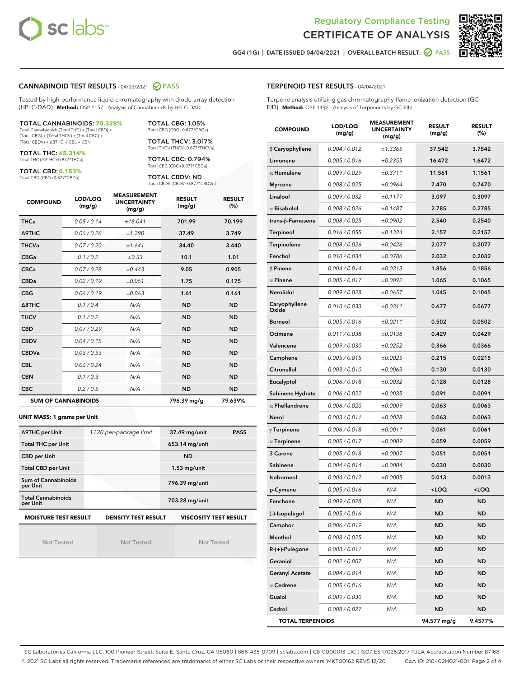



GG4 (1G) | DATE ISSUED 04/04/2021 | OVERALL BATCH RESULT: 2 PASS

### CANNABINOID TEST RESULTS - 04/03/2021 2 PASS

Tested by high-performance liquid chromatography with diode-array detection (HPLC-DAD). **Method:** QSP 1157 - Analysis of Cannabinoids by HPLC-DAD

#### TOTAL CANNABINOIDS: **70.328%**

Total Cannabinoids (Total THC) + (Total CBD) + (Total CBG) + (Total THCV) + (Total CBC) + (Total CBDV) + ∆8THC + CBL + CBN

TOTAL THC: **65.314%** Total THC (∆9THC+0.877\*THCa)

TOTAL CBD: **0.153%**

Total CBD (CBD+0.877\*CBDa)

TOTAL CBG: 1.05% Total CBG (CBG+0.877\*CBGa)

TOTAL THCV: 3.017% Total THCV (THCV+0.877\*THCVa)

TOTAL CBC: 0.794% Total CBC (CBC+0.877\*CBCa)

TOTAL CBDV: ND Total CBDV (CBDV+0.877\*CBDVa)

| <b>COMPOUND</b> | LOD/LOQ<br>(mg/g)          | <b>MEASUREMENT</b><br><b>UNCERTAINTY</b><br>(mg/g) | <b>RESULT</b><br>(mg/g) | <b>RESULT</b><br>(%) |
|-----------------|----------------------------|----------------------------------------------------|-------------------------|----------------------|
| <b>THCa</b>     | 0.05 / 0.14                | ±18.041                                            | 701.99                  | 70.199               |
| Δ9THC           | 0.06 / 0.26                | ±1.290                                             | 37.49                   | 3.749                |
| <b>THCVa</b>    | 0.07 / 0.20                | ±1.641                                             | 34.40                   | 3.440                |
| <b>CBGa</b>     | 0.1/0.2                    | ±0.53                                              | 10.1                    | 1.01                 |
| <b>CBCa</b>     | 0.07/0.28                  | ±0.443                                             | 9.05                    | 0.905                |
| <b>CBDa</b>     | 0.02/0.19                  | ±0.051                                             | 1.75                    | 0.175                |
| <b>CBG</b>      | 0.06/0.19                  | ±0.063                                             | 1.61                    | 0.161                |
| A8THC           | 0.1/0.4                    | N/A                                                | <b>ND</b>               | <b>ND</b>            |
| <b>THCV</b>     | 0.1/0.2                    | N/A                                                | <b>ND</b>               | <b>ND</b>            |
| <b>CBD</b>      | 0.07/0.29                  | N/A                                                | <b>ND</b>               | <b>ND</b>            |
| <b>CBDV</b>     | 0.04 / 0.15                | N/A                                                | <b>ND</b>               | <b>ND</b>            |
| <b>CBDVa</b>    | 0.03/0.53                  | N/A                                                | <b>ND</b>               | <b>ND</b>            |
| <b>CBL</b>      | 0.06 / 0.24                | N/A                                                | <b>ND</b>               | <b>ND</b>            |
| <b>CBN</b>      | 0.1/0.3                    | N/A                                                | <b>ND</b>               | <b>ND</b>            |
| <b>CBC</b>      | 0.2 / 0.5                  | N/A                                                | <b>ND</b>               | <b>ND</b>            |
|                 | <b>SUM OF CANNABINOIDS</b> |                                                    | 796.39 mg/g             | 79.639%              |

#### **UNIT MASS: 1 grams per Unit**

| ∆9THC per Unit                        | 1120 per-package limit                                                                    | 37.49 mg/unit<br><b>PASS</b> |  |  |  |  |
|---------------------------------------|-------------------------------------------------------------------------------------------|------------------------------|--|--|--|--|
| <b>Total THC per Unit</b>             |                                                                                           | 653.14 mg/unit               |  |  |  |  |
| <b>CBD per Unit</b>                   |                                                                                           | <b>ND</b>                    |  |  |  |  |
| <b>Total CBD per Unit</b>             |                                                                                           | $1.53$ mg/unit               |  |  |  |  |
| Sum of Cannabinoids<br>per Unit       |                                                                                           | 796.39 mg/unit               |  |  |  |  |
| <b>Total Cannabinoids</b><br>per Unit |                                                                                           | 703.28 mg/unit               |  |  |  |  |
|                                       | <b>MOISTURE TEST RESULT</b><br><b>DENSITY TEST RESULT</b><br><b>VISCOSITY TEST RESULT</b> |                              |  |  |  |  |

Not Tested

Not Tested

Not Tested

#### TERPENOID TEST RESULTS - 04/04/2021

Terpene analysis utilizing gas chromatography-flame ionization detection (GC-FID). **Method:** QSP 1192 - Analysis of Terpenoids by GC-FID

| <b>COMPOUND</b>         | LOD/LOQ<br>(mg/g) | <b>MEASUREMENT</b><br><b>UNCERTAINTY</b><br>(mq/q) | <b>RESULT</b><br>(mg/g)                         | <b>RESULT</b><br>$(\%)$ |
|-------------------------|-------------------|----------------------------------------------------|-------------------------------------------------|-------------------------|
| $\beta$ Caryophyllene   | 0.004 / 0.012     | ±1.3365                                            | 37.542                                          | 3.7542                  |
| Limonene                | 0.005 / 0.016     | ±0.2355                                            | 16.472                                          | 1.6472                  |
| $\alpha$ Humulene       | 0.009 / 0.029     | ±0.3711                                            | 11.561                                          | 1.1561                  |
| <b>Myrcene</b>          | 0.008 / 0.025     | ±0.0964                                            | 7.470                                           | 0.7470                  |
| Linalool                | 0.009 / 0.032     | ±0.1177                                            | 3.097                                           | 0.3097                  |
| $\alpha$ Bisabolol      | 0.008 / 0.026     | ±0.1487                                            | 2.785                                           | 0.2785                  |
| trans-ß-Farnesene       | 0.008 / 0.025     | ±0.0902                                            | 2.540                                           | 0.2540                  |
| Terpineol               | 0.016 / 0.055     | ±0.1324                                            | 2.157                                           | 0.2157                  |
| Terpinolene             | 0.008 / 0.026     | ±0.0426                                            | 2.077                                           | 0.2077                  |
| Fenchol                 | 0.010 / 0.034     | ±0.0786                                            | 2.032                                           | 0.2032                  |
| $\beta$ Pinene          | 0.004 / 0.014     | ±0.0213                                            | 1.856                                           | 0.1856                  |
| $\alpha$ Pinene         | 0.005 / 0.017     | ±0.0092                                            | 1.065                                           | 0.1065                  |
| <b>Nerolidol</b>        | 0.009 / 0.028     | ±0.0657                                            | 1.045                                           | 0.1045                  |
| Caryophyllene<br>Oxide  | 0.010 / 0.033     | ±0.0311                                            | 0.677                                           | 0.0677                  |
| <b>Borneol</b>          | 0.005 / 0.016     | ±0.0211                                            | 0.502                                           | 0.0502                  |
| Ocimene                 | 0.011 / 0.038     | ±0.0138                                            | 0.429                                           | 0.0429                  |
| Valencene               | 0.009 / 0.030     | ±0.0252                                            | 0.366                                           | 0.0366                  |
| Camphene                | 0.005 / 0.015     | ±0.0025                                            | 0.215                                           | 0.0215                  |
| Citronellol             | 0.003 / 0.010     | ±0.0063                                            | 0.130                                           | 0.0130                  |
| Eucalyptol              | 0.006 / 0.018     | ±0.0032                                            | 0.128                                           | 0.0128                  |
| Sabinene Hydrate        | 0.006 / 0.022     | ±0.0035                                            | 0.091                                           | 0.0091                  |
| $\alpha$ Phellandrene   | 0.006 / 0.020     | ±0.0009                                            | 0.063                                           | 0.0063                  |
| Nerol                   | 0.003 / 0.011     | ±0.0028                                            | 0.063                                           | 0.0063                  |
| $\gamma$ Terpinene      | 0.006 / 0.018     | ±0.0011                                            | 0.061                                           | 0.0061                  |
| $\alpha$ Terpinene      | 0.005 / 0.017     | ±0.0009                                            | 0.059                                           | 0.0059                  |
| 3 Carene                | 0.005 / 0.018     | ±0.0007                                            | 0.051                                           | 0.0051                  |
| Sabinene                | 0.004 / 0.014     | ±0.0004                                            | 0.030                                           | 0.0030                  |
| Isoborneol              | 0.004 / 0.012     | ±0.0005                                            | 0.013                                           | 0.0013                  |
| p-Cymene                | 0.005 / 0.016     | N/A                                                | <loq< th=""><th><loq< th=""></loq<></th></loq<> | <loq< th=""></loq<>     |
| Fenchone                | 0.009 / 0.028     | N/A                                                | ND                                              | ND                      |
| (-)-Isopulegol          | 0.005 / 0.016     | N/A                                                | ND                                              | ND                      |
| Camphor                 | 0.006 / 0.019     | N/A                                                | ND                                              | <b>ND</b>               |
| Menthol                 | 0.008 / 0.025     | N/A                                                | ND                                              | <b>ND</b>               |
| R-(+)-Pulegone          | 0.003 / 0.011     | N/A                                                | ND                                              | <b>ND</b>               |
| Geraniol                | 0.002 / 0.007     | N/A                                                | ND                                              | <b>ND</b>               |
| <b>Geranyl Acetate</b>  | 0.004 / 0.014     | N/A                                                | ND                                              | ND                      |
| $\alpha$ Cedrene        | 0.005 / 0.016     | N/A                                                | ND                                              | <b>ND</b>               |
| Guaiol                  | 0.009 / 0.030     | N/A                                                | ND                                              | <b>ND</b>               |
| Cedrol                  | 0.008 / 0.027     | N/A                                                | ND                                              | ND                      |
| <b>TOTAL TERPENOIDS</b> |                   |                                                    | 94.577 mg/g                                     | 9.4577%                 |

SC Laboratories California LLC. 100 Pioneer Street, Suite E, Santa Cruz, CA 95060 | 866-435-0709 | sclabs.com | C8-0000013-LIC | ISO/IES 17025:2017 PJLA Accreditation Number 87168 © 2021 SC Labs all rights reserved. Trademarks referenced are trademarks of either SC Labs or their respective owners. MKT00162 REV5 12/20 CoA ID: 210402M021-001 Page 2 of 4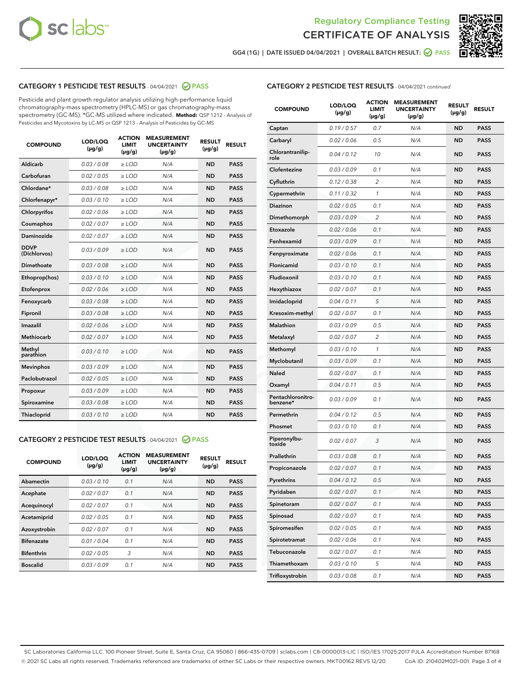



GG4 (1G) | DATE ISSUED 04/04/2021 | OVERALL BATCH RESULT: 2 PASS

## CATEGORY 1 PESTICIDE TEST RESULTS - 04/04/2021 @ PASS

Pesticide and plant growth regulator analysis utilizing high-performance liquid chromatography-mass spectrometry (HPLC-MS) or gas chromatography-mass spectrometry (GC-MS). \*GC-MS utilized where indicated. **Method:** QSP 1212 - Analysis of Pesticides and Mycotoxins by LC-MS or QSP 1213 - Analysis of Pesticides by GC-MS

| <b>COMPOUND</b>             | LOD/LOQ<br>$(\mu g/g)$ | <b>ACTION</b><br>LIMIT<br>$(\mu g/g)$ | <b>MEASUREMENT</b><br><b>UNCERTAINTY</b><br>$(\mu g/g)$ | <b>RESULT</b><br>$(\mu g/g)$ | <b>RESULT</b> |
|-----------------------------|------------------------|---------------------------------------|---------------------------------------------------------|------------------------------|---------------|
| Aldicarb                    | 0.03 / 0.08            | $\ge$ LOD                             | N/A                                                     | <b>ND</b>                    | <b>PASS</b>   |
| Carbofuran                  | 0.02 / 0.05            | $\ge$ LOD                             | N/A                                                     | <b>ND</b>                    | <b>PASS</b>   |
| Chlordane*                  | 0.03 / 0.08            | $\ge$ LOD                             | N/A                                                     | <b>ND</b>                    | <b>PASS</b>   |
| Chlorfenapyr*               | 0.03/0.10              | $\ge$ LOD                             | N/A                                                     | <b>ND</b>                    | <b>PASS</b>   |
| Chlorpyrifos                | 0.02 / 0.06            | $\ge$ LOD                             | N/A                                                     | <b>ND</b>                    | <b>PASS</b>   |
| Coumaphos                   | 0.02 / 0.07            | $\ge$ LOD                             | N/A                                                     | <b>ND</b>                    | <b>PASS</b>   |
| Daminozide                  | 0.02/0.07              | $\ge$ LOD                             | N/A                                                     | <b>ND</b>                    | <b>PASS</b>   |
| <b>DDVP</b><br>(Dichlorvos) | 0.03/0.09              | $\ge$ LOD                             | N/A                                                     | <b>ND</b>                    | <b>PASS</b>   |
| Dimethoate                  | 0.03 / 0.08            | $>$ LOD                               | N/A                                                     | <b>ND</b>                    | <b>PASS</b>   |
| Ethoprop(hos)               | 0.03/0.10              | $\ge$ LOD                             | N/A                                                     | <b>ND</b>                    | <b>PASS</b>   |
| Etofenprox                  | 0.02/0.06              | $>$ LOD                               | N/A                                                     | <b>ND</b>                    | <b>PASS</b>   |
| Fenoxycarb                  | 0.03/0.08              | $>$ LOD                               | N/A                                                     | <b>ND</b>                    | <b>PASS</b>   |
| Fipronil                    | 0.03 / 0.08            | $>$ LOD                               | N/A                                                     | <b>ND</b>                    | <b>PASS</b>   |
| Imazalil                    | 0.02/0.06              | $>$ LOD                               | N/A                                                     | <b>ND</b>                    | <b>PASS</b>   |
| <b>Methiocarb</b>           | 0.02 / 0.07            | $\ge$ LOD                             | N/A                                                     | <b>ND</b>                    | <b>PASS</b>   |
| Methyl<br>parathion         | 0.03/0.10              | $\ge$ LOD                             | N/A                                                     | <b>ND</b>                    | <b>PASS</b>   |
| <b>Mevinphos</b>            | 0.03/0.09              | $\ge$ LOD                             | N/A                                                     | <b>ND</b>                    | <b>PASS</b>   |
| Paclobutrazol               | 0.02 / 0.05            | $\ge$ LOD                             | N/A                                                     | <b>ND</b>                    | <b>PASS</b>   |
| Propoxur                    | 0.03 / 0.09            | $\ge$ LOD                             | N/A                                                     | <b>ND</b>                    | <b>PASS</b>   |
| Spiroxamine                 | 0.03 / 0.08            | $\ge$ LOD                             | N/A                                                     | <b>ND</b>                    | <b>PASS</b>   |
| Thiacloprid                 | 0.03/0.10              | $\ge$ LOD                             | N/A                                                     | <b>ND</b>                    | <b>PASS</b>   |

# CATEGORY 2 PESTICIDE TEST RESULTS - 04/04/2021 @ PASS

| <b>COMPOUND</b>   | LOD/LOQ<br>$(\mu g/g)$ | <b>ACTION</b><br><b>LIMIT</b><br>$(\mu g/g)$ | <b>MEASUREMENT</b><br><b>UNCERTAINTY</b><br>$(\mu g/g)$ | <b>RESULT</b><br>$(\mu g/g)$ | <b>RESULT</b> |
|-------------------|------------------------|----------------------------------------------|---------------------------------------------------------|------------------------------|---------------|
| Abamectin         | 0.03/0.10              | 0.1                                          | N/A                                                     | <b>ND</b>                    | <b>PASS</b>   |
| Acephate          | 0.02/0.07              | 0.1                                          | N/A                                                     | <b>ND</b>                    | <b>PASS</b>   |
| Acequinocyl       | 0.02/0.07              | 0.1                                          | N/A                                                     | <b>ND</b>                    | <b>PASS</b>   |
| Acetamiprid       | 0.02/0.05              | 0.1                                          | N/A                                                     | <b>ND</b>                    | <b>PASS</b>   |
| Azoxystrobin      | 0.02/0.07              | 0.1                                          | N/A                                                     | <b>ND</b>                    | <b>PASS</b>   |
| <b>Bifenazate</b> | 0.01/0.04              | 0.1                                          | N/A                                                     | <b>ND</b>                    | <b>PASS</b>   |
| <b>Bifenthrin</b> | 0.02/0.05              | 3                                            | N/A                                                     | <b>ND</b>                    | <b>PASS</b>   |
| <b>Boscalid</b>   | 0.03/0.09              | 0.1                                          | N/A                                                     | <b>ND</b>                    | <b>PASS</b>   |

# CATEGORY 2 PESTICIDE TEST RESULTS - 04/04/2021 continued

| <b>COMPOUND</b>               | LOD/LOQ<br>(µg/g) | <b>ACTION</b><br>LIMIT<br>$(\mu g/g)$ | <b>MEASUREMENT</b><br><b>UNCERTAINTY</b><br>(µg/g) | <b>RESULT</b><br>(µg/g) | <b>RESULT</b> |
|-------------------------------|-------------------|---------------------------------------|----------------------------------------------------|-------------------------|---------------|
| Captan                        | 0.19/0.57         | 0.7                                   | N/A                                                | <b>ND</b>               | <b>PASS</b>   |
| Carbaryl                      | 0.02 / 0.06       | 0.5                                   | N/A                                                | ND                      | <b>PASS</b>   |
| Chlorantranilip-<br>role      | 0.04 / 0.12       | 10                                    | N/A                                                | <b>ND</b>               | <b>PASS</b>   |
| Clofentezine                  | 0.03 / 0.09       | 0.1                                   | N/A                                                | <b>ND</b>               | <b>PASS</b>   |
| Cyfluthrin                    | 0.12 / 0.38       | 2                                     | N/A                                                | <b>ND</b>               | <b>PASS</b>   |
| Cypermethrin                  | 0.11 / 0.32       | 1                                     | N/A                                                | <b>ND</b>               | <b>PASS</b>   |
| <b>Diazinon</b>               | 0.02 / 0.05       | 0.1                                   | N/A                                                | <b>ND</b>               | <b>PASS</b>   |
| Dimethomorph                  | 0.03 / 0.09       | 2                                     | N/A                                                | <b>ND</b>               | <b>PASS</b>   |
| Etoxazole                     | 0.02 / 0.06       | 0.1                                   | N/A                                                | <b>ND</b>               | <b>PASS</b>   |
| Fenhexamid                    | 0.03 / 0.09       | 0.1                                   | N/A                                                | <b>ND</b>               | <b>PASS</b>   |
| Fenpyroximate                 | 0.02 / 0.06       | 0.1                                   | N/A                                                | <b>ND</b>               | <b>PASS</b>   |
| <b>Flonicamid</b>             | 0.03/0.10         | 0.1                                   | N/A                                                | <b>ND</b>               | <b>PASS</b>   |
| Fludioxonil                   | 0.03/0.10         | 0.1                                   | N/A                                                | <b>ND</b>               | <b>PASS</b>   |
| Hexythiazox                   | 0.02 / 0.07       | 0.1                                   | N/A                                                | <b>ND</b>               | <b>PASS</b>   |
| Imidacloprid                  | 0.04 / 0.11       | 5                                     | N/A                                                | <b>ND</b>               | <b>PASS</b>   |
| Kresoxim-methyl               | 0.02 / 0.07       | 0.1                                   | N/A                                                | ND                      | <b>PASS</b>   |
| <b>Malathion</b>              | 0.03 / 0.09       | 0.5                                   | N/A                                                | <b>ND</b>               | <b>PASS</b>   |
| Metalaxyl                     | 0.02 / 0.07       | 2                                     | N/A                                                | <b>ND</b>               | <b>PASS</b>   |
| Methomyl                      | 0.03 / 0.10       | 1                                     | N/A                                                | <b>ND</b>               | <b>PASS</b>   |
| Myclobutanil                  | 0.03 / 0.09       | 0.1                                   | N/A                                                | <b>ND</b>               | <b>PASS</b>   |
| <b>Naled</b>                  | 0.02 / 0.07       | 0.1                                   | N/A                                                | <b>ND</b>               | <b>PASS</b>   |
| Oxamyl                        | 0.04 / 0.11       | 0.5                                   | N/A                                                | <b>ND</b>               | <b>PASS</b>   |
| Pentachloronitro-<br>benzene* | 0.03 / 0.09       | 0.1                                   | N/A                                                | <b>ND</b>               | <b>PASS</b>   |
| Permethrin                    | 0.04 / 0.12       | 0.5                                   | N/A                                                | <b>ND</b>               | <b>PASS</b>   |
| Phosmet                       | 0.03 / 0.10       | 0.1                                   | N/A                                                | <b>ND</b>               | <b>PASS</b>   |
| Piperonylbu-<br>toxide        | 0.02 / 0.07       | 3                                     | N/A                                                | <b>ND</b>               | <b>PASS</b>   |
| Prallethrin                   | 0.03 / 0.08       | 0.1                                   | N/A                                                | <b>ND</b>               | <b>PASS</b>   |
| Propiconazole                 | 0.02 / 0.07       | 0.1                                   | N/A                                                | <b>ND</b>               | <b>PASS</b>   |
| Pyrethrins                    | 0.04 / 0.12       | 0.5                                   | N/A                                                | ND                      | PASS          |
| Pyridaben                     | 0.02 / 0.07       | 0.1                                   | N/A                                                | ND                      | <b>PASS</b>   |
| Spinetoram                    | 0.02 / 0.07       | 0.1                                   | N/A                                                | <b>ND</b>               | <b>PASS</b>   |
| Spinosad                      | 0.02 / 0.07       | 0.1                                   | N/A                                                | <b>ND</b>               | <b>PASS</b>   |
| Spiromesifen                  | 0.02 / 0.05       | 0.1                                   | N/A                                                | <b>ND</b>               | <b>PASS</b>   |
| Spirotetramat                 | 0.02 / 0.06       | 0.1                                   | N/A                                                | <b>ND</b>               | <b>PASS</b>   |
| Tebuconazole                  | 0.02 / 0.07       | 0.1                                   | N/A                                                | ND                      | <b>PASS</b>   |
| Thiamethoxam                  | 0.03 / 0.10       | 5                                     | N/A                                                | <b>ND</b>               | <b>PASS</b>   |
| Trifloxystrobin               | 0.03 / 0.08       | 0.1                                   | N/A                                                | <b>ND</b>               | <b>PASS</b>   |